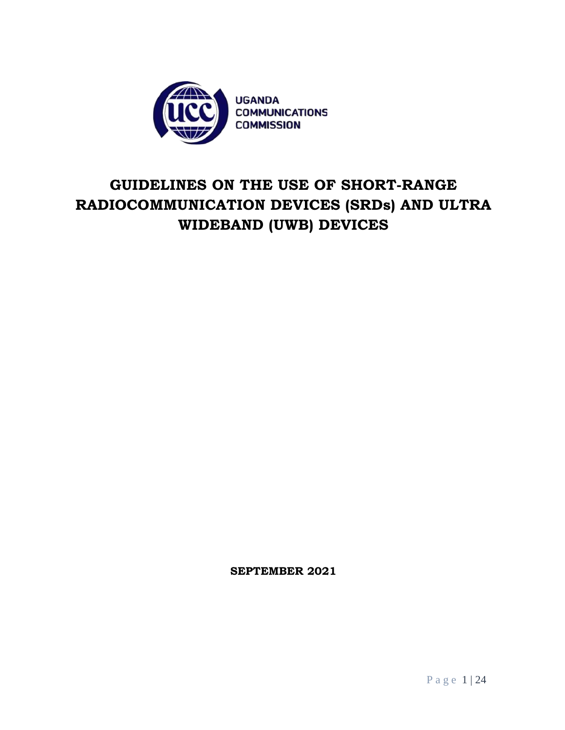

# **GUIDELINES ON THE USE OF SHORT-RANGE RADIOCOMMUNICATION DEVICES (SRDs) AND ULTRA WIDEBAND (UWB) DEVICES**

**SEPTEMBER 2021**

P a g e 1 | 24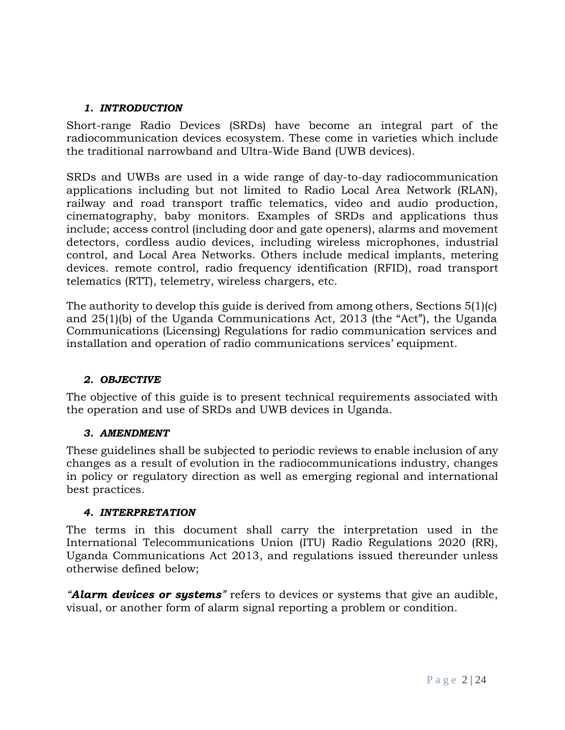#### *1. INTRODUCTION*

Short-range Radio Devices (SRDs) have become an integral part of the radiocommunication devices ecosystem. These come in varieties which include the traditional narrowband and Ultra-Wide Band (UWB devices).

SRDs and UWBs are used in a wide range of day-to-day radiocommunication applications including but not limited to Radio Local Area Network (RLAN), railway and road transport traffic telematics, video and audio production, cinematography, baby monitors. Examples of SRDs and applications thus include; access control (including door and gate openers), alarms and movement detectors, cordless audio devices, including wireless microphones, industrial control, and Local Area Networks. Others include medical implants, metering devices. remote control, radio frequency identification (RFID), road transport telematics (RTT), telemetry, wireless chargers, etc.

The authority to develop this guide is derived from among others, Sections 5(1)(c) and 25(1)(b) of the Uganda Communications Act, 2013 (the "Act"), the Uganda Communications (Licensing) Regulations for radio communication services and installation and operation of radio communications services' equipment.

### *2. OBJECTIVE*

The objective of this guide is to present technical requirements associated with the operation and use of SRDs and UWB devices in Uganda.

#### *3. AMENDMENT*

These guidelines shall be subjected to periodic reviews to enable inclusion of any changes as a result of evolution in the radiocommunications industry, changes in policy or regulatory direction as well as emerging regional and international best practices.

#### *4. INTERPRETATION*

The terms in this document shall carry the interpretation used in the International Telecommunications Union (ITU) Radio Regulations 2020 (RR), Uganda Communications Act 2013, and regulations issued thereunder unless otherwise defined below;

*"Alarm devices or systems"* refers to devices or systems that give an audible, visual, or another form of alarm signal reporting a problem or condition.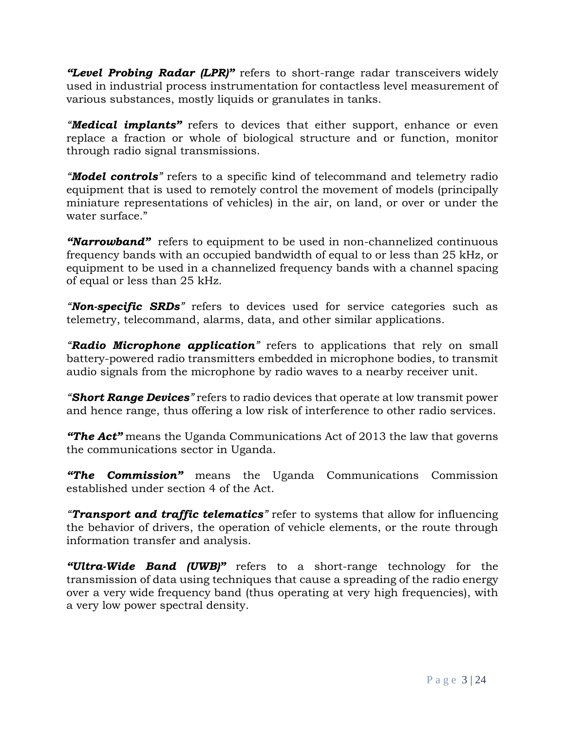*"Level Probing Radar (LPR)"* refers to short-range radar transceivers widely used in industrial process instrumentation for contactless level measurement of various substances, mostly liquids or granulates in tanks.

*"Medical implants"* refers to devices that either support, enhance or even replace a fraction or whole of biological structure and or function, monitor through radio signal transmissions.

*"Model controls"* refers to a specific kind of telecommand and telemetry radio equipment that is used to remotely control the movement of models (principally miniature representations of vehicles) in the air, on land, or over or under the water surface."

*"Narrowband"* refers to equipment to be used in non-channelized continuous frequency bands with an occupied bandwidth of equal to or less than 25 kHz, or equipment to be used in a channelized frequency bands with a channel spacing of equal or less than 25 kHz.

*"Non-specific SRDs"* refers to devices used for service categories such as telemetry, telecommand, alarms, data, and other similar applications.

*"Radio Microphone application"* refers to applications that rely on small battery-powered radio transmitters embedded in microphone bodies, to transmit audio signals from the microphone by radio waves to a nearby receiver unit.

*"Short Range Devices"* refers to radio devices that operate at low transmit power and hence range, thus offering a low risk of interference to other radio services.

*"The Act"* means the Uganda Communications Act of 2013 the law that governs the communications sector in Uganda.

*"The Commission"* means the Uganda Communications Commission established under section 4 of the Act.

*"Transport and traffic telematics"* refer to systems that allow for influencing the behavior of drivers, the operation of vehicle elements, or the route through information transfer and analysis.

*"Ultra-Wide Band (UWB)"* refers to a short-range technology for the transmission of data using techniques that cause a spreading of the radio energy over a very wide frequency band (thus operating at very high frequencies), with a very low power spectral density.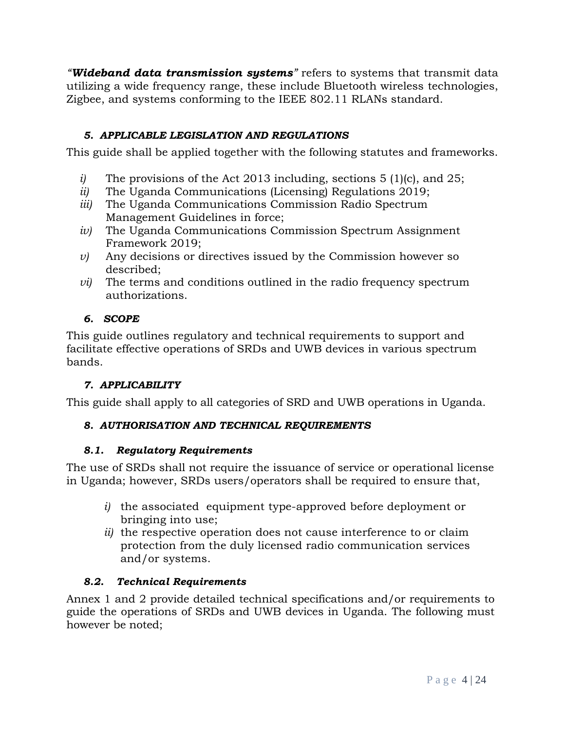*"Wideband data transmission systems"* refers to systems that transmit data utilizing a wide frequency range, these include Bluetooth wireless technologies, Zigbee, and systems conforming to the IEEE 802.11 RLANs standard.

# *5. APPLICABLE LEGISLATION AND REGULATIONS*

This guide shall be applied together with the following statutes and frameworks.

- *i)* The provisions of the Act 2013 including, sections 5 (1)(c), and 25;
- *ii)* The Uganda Communications (Licensing) Regulations 2019;
- *iii)* The Uganda Communications Commission Radio Spectrum Management Guidelines in force;
- *iv)* The Uganda Communications Commission Spectrum Assignment Framework 2019;
- *v)* Any decisions or directives issued by the Commission however so described;
- *vi*) The terms and conditions outlined in the radio frequency spectrum authorizations.

# *6. SCOPE*

This guide outlines regulatory and technical requirements to support and facilitate effective operations of SRDs and UWB devices in various spectrum bands.

# *7. APPLICABILITY*

This guide shall apply to all categories of SRD and UWB operations in Uganda.

# *8. AUTHORISATION AND TECHNICAL REQUIREMENTS*

### *8.1. Regulatory Requirements*

The use of SRDs shall not require the issuance of service or operational license in Uganda; however, SRDs users/operators shall be required to ensure that,

- *i)* the associated equipment type-approved before deployment or bringing into use;
- *ii)* the respective operation does not cause interference to or claim protection from the duly licensed radio communication services and/or systems.

### *8.2. Technical Requirements*

Annex 1 and 2 provide detailed technical specifications and/or requirements to guide the operations of SRDs and UWB devices in Uganda. The following must however be noted;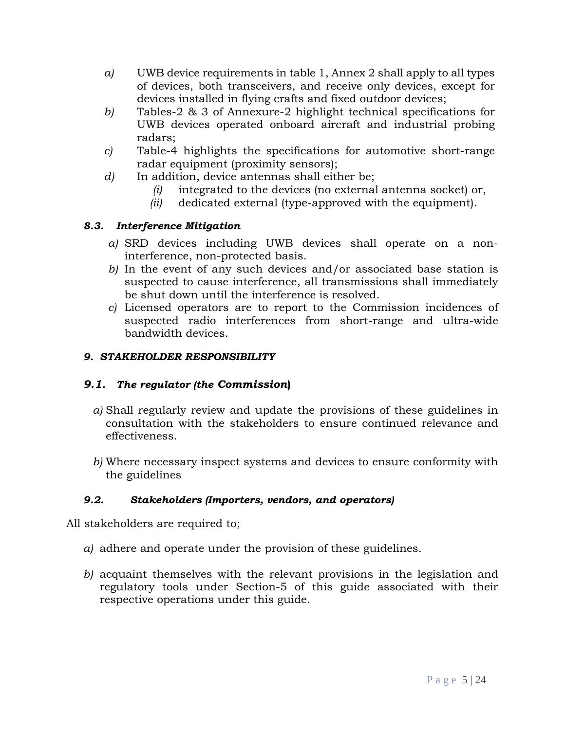- *a)* UWB device requirements in table 1, Annex 2 shall apply to all types of devices, both transceivers, and receive only devices, except for devices installed in flying crafts and fixed outdoor devices;
- *b)* Tables-2 & 3 of Annexure-2 highlight technical specifications for UWB devices operated onboard aircraft and industrial probing radars;
- *c)* Table-4 highlights the specifications for automotive short-range radar equipment (proximity sensors);
- *d)* In addition, device antennas shall either be;
	- *(i)* integrated to the devices (no external antenna socket) or,
	- *(ii)* dedicated external (type-approved with the equipment).

# *8.3. Interference Mitigation*

- *a)* SRD devices including UWB devices shall operate on a noninterference, non-protected basis.
- *b)* In the event of any such devices and/or associated base station is suspected to cause interference, all transmissions shall immediately be shut down until the interference is resolved.
- *c)* Licensed operators are to report to the Commission incidences of suspected radio interferences from short-range and ultra-wide bandwidth devices.

# *9. STAKEHOLDER RESPONSIBILITY*

# *9.1. The regulator (the Commission***)**

- *a)* Shall regularly review and update the provisions of these guidelines in consultation with the stakeholders to ensure continued relevance and effectiveness.
- *b)* Where necessary inspect systems and devices to ensure conformity with the guidelines

# *9.2. Stakeholders (Importers, vendors, and operators)*

All stakeholders are required to;

- *a)* adhere and operate under the provision of these guidelines.
- *b)* acquaint themselves with the relevant provisions in the legislation and regulatory tools under Section-5 of this guide associated with their respective operations under this guide.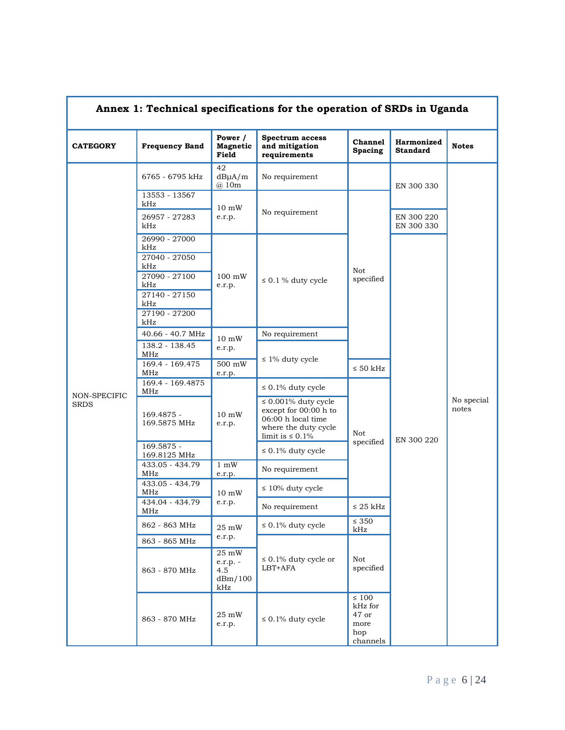| Annex 1: Technical specifications for the operation of SRDs in Uganda |                                       |                                            |                                                                                                                           |                                                           |                               |                     |  |  |  |
|-----------------------------------------------------------------------|---------------------------------------|--------------------------------------------|---------------------------------------------------------------------------------------------------------------------------|-----------------------------------------------------------|-------------------------------|---------------------|--|--|--|
| <b>CATEGORY</b>                                                       | <b>Frequency Band</b>                 | Power /<br><b>Magnetic</b><br>Field        | Spectrum access<br>and mitigation<br>requirements                                                                         | <b>Channel</b><br><b>Spacing</b>                          | Harmonized<br><b>Standard</b> | <b>Notes</b>        |  |  |  |
|                                                                       | 6765 - 6795 kHz                       | 42<br>$dB\mu A/m$<br>@ 10m                 | No requirement                                                                                                            |                                                           | EN 300 330                    |                     |  |  |  |
|                                                                       | 13553 - 13567<br>kHz                  | $10 \text{ mW}$                            |                                                                                                                           |                                                           |                               |                     |  |  |  |
|                                                                       | 26957 - 27283<br>kHz                  | e.r.p.                                     | No requirement                                                                                                            |                                                           | EN 300 220<br>EN 300 330      |                     |  |  |  |
|                                                                       | 26990 - 27000<br>kHz                  |                                            |                                                                                                                           |                                                           |                               |                     |  |  |  |
|                                                                       | 27040 - 27050<br>kHz<br>27090 - 27100 | $100 \text{ mW}$                           |                                                                                                                           | Not<br>specified                                          |                               |                     |  |  |  |
|                                                                       | kHz                                   | e.r.p.                                     | $\leq 0.1$ % duty cycle                                                                                                   |                                                           |                               |                     |  |  |  |
|                                                                       | 27140 - 27150<br>kHz                  |                                            |                                                                                                                           |                                                           |                               |                     |  |  |  |
|                                                                       | 27190 - 27200<br>kHz                  |                                            |                                                                                                                           |                                                           |                               |                     |  |  |  |
|                                                                       | 40.66 - 40.7 MHz                      | $10 \text{ mW}$                            | No requirement                                                                                                            |                                                           |                               |                     |  |  |  |
|                                                                       | 138.2 - 138.45<br>MHz                 | e.r.p.                                     |                                                                                                                           |                                                           |                               | No special<br>notes |  |  |  |
|                                                                       | 169.4 - 169.475<br>MHz                | $500 \text{ mW}$<br>e.r.p.                 | $\leq 1\%$ duty cycle                                                                                                     | $\leq 50$ kHz                                             |                               |                     |  |  |  |
|                                                                       | 169.4 - 169.4875<br>MHz               |                                            | $\leq 0.1\%$ duty cycle                                                                                                   |                                                           | EN 300 220                    |                     |  |  |  |
| NON-SPECIFIC<br><b>SRDS</b>                                           | 169.4875 -<br>169.5875 MHz            | $10 \text{ mW}$<br>e.r.p.                  | $\leq 0.001\%$ duty cycle<br>except for 00:00 h to<br>06:00 h local time<br>where the duty cycle<br>limit is $\leq 0.1\%$ | Not                                                       |                               |                     |  |  |  |
|                                                                       | 169.5875 -<br>169.8125 MHz            |                                            | $\leq 0.1\%$ duty cycle                                                                                                   | specified                                                 |                               |                     |  |  |  |
|                                                                       | 433.05 - 434.79<br>MHz                | $1 \text{ mW}$<br>e.r.p.                   | No requirement                                                                                                            |                                                           |                               |                     |  |  |  |
|                                                                       | 433.05 - 434.79<br>MHz                | $10 \text{ mW}$                            | $\leq 10\%$ duty cycle                                                                                                    |                                                           |                               |                     |  |  |  |
|                                                                       | 434.04 - 434.79<br>MHz                | e.r.p.                                     | No requirement                                                                                                            | $\leq 25~\mathrm{kHz}$                                    |                               |                     |  |  |  |
|                                                                       | 862 - 863 MHz                         | 25 mW                                      | $\leq 0.1\%$ duty cycle                                                                                                   | $\leq 350$<br>kHz                                         |                               |                     |  |  |  |
|                                                                       | 863 - 865 MHz                         | e.r.p.                                     |                                                                                                                           |                                                           |                               |                     |  |  |  |
|                                                                       | 863 - 870 MHz                         | 25 mW<br>e.r.p. -<br>4.5<br>dBm/100<br>kHz | $\leq 0.1\%$ duty cycle or<br>LBT+AFA                                                                                     | Not<br>specified                                          |                               |                     |  |  |  |
|                                                                       | 863 - 870 MHz                         | 25 mW<br>e.r.p.                            | $\leq 0.1\%$ duty cycle                                                                                                   | $\leq 100$<br>kHz for<br>47 or<br>more<br>hop<br>channels |                               |                     |  |  |  |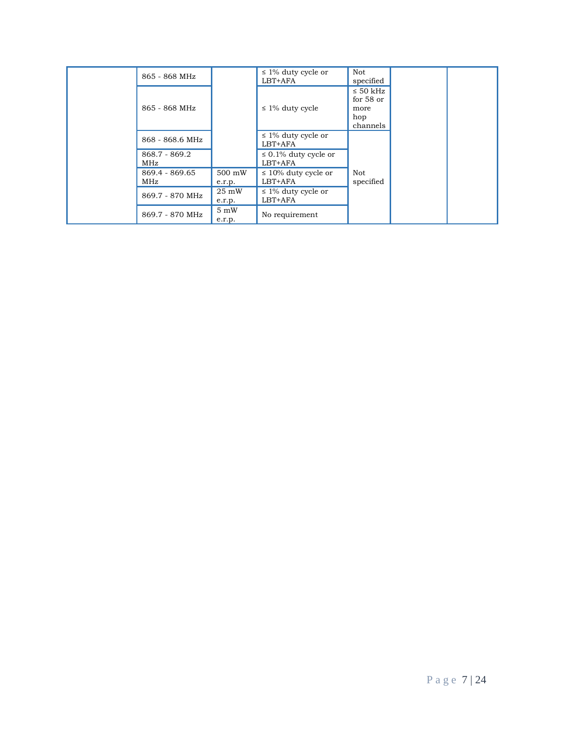|  | 865 - 868 MHz          |                           | $\leq$ 1% duty cycle or<br>LBT+AFA    | Not<br>specified                                        |  |
|--|------------------------|---------------------------|---------------------------------------|---------------------------------------------------------|--|
|  | 865 - 868 MHz          | $\leq$ 1% duty cycle      |                                       | $\leq$ 50 kHz<br>for $58$ or<br>more<br>hop<br>channels |  |
|  | 868 - 868.6 MHz        |                           | $\leq$ 1% duty cycle or<br>LBT+AFA    |                                                         |  |
|  | $868.7 - 869.2$<br>MHz |                           | $\leq 0.1\%$ duty cycle or<br>LBT+AFA |                                                         |  |
|  | 869.4 - 869.65<br>MHz  | 500 mW<br>e.r.p.          | $\leq 10\%$ duty cycle or<br>LBT+AFA  | Not<br>specified                                        |  |
|  | 869.7 - 870 MHz        | $25 \text{ mW}$<br>e.r.p. | $\leq$ 1% duty cycle or<br>LBT+AFA    |                                                         |  |
|  | 869.7 - 870 MHz        | $5 \text{ mW}$<br>e.r.p.  | No requirement                        |                                                         |  |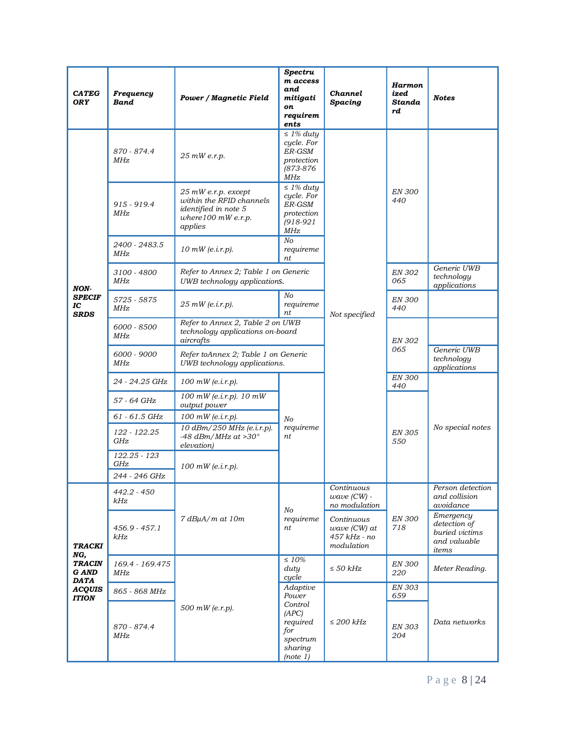| <b>CATEG</b><br><b>ORY</b>                       | Frequency<br><b>Band</b> | <b>Power / Magnetic Field</b>                                                                               | Spectru<br>m access<br>and<br>mitigati<br>on<br>requirem<br>ents             | <b>Channel</b><br><b>Spacing</b>                           | Harmon<br>ized<br>Standa<br>rd            | <b>Notes</b>                                                         |
|--------------------------------------------------|--------------------------|-------------------------------------------------------------------------------------------------------------|------------------------------------------------------------------------------|------------------------------------------------------------|-------------------------------------------|----------------------------------------------------------------------|
| <b>NON</b><br><b>SPECIF</b><br>IC<br><b>SRDS</b> | 870 - 874.4<br>MHz       | 25 mW e.r.p.                                                                                                | $\leq$ 1% duty<br>cycle. For<br>ER-GSM<br>protection<br>(873-876<br>MHz      |                                                            |                                           |                                                                      |
|                                                  | 915 - 919.4<br>MHz       | $25$ mW e.r.p. except<br>within the RFID channels<br>identified in note 5<br>where 100 mW e.r.p.<br>applies | $\leq$ 1% duty<br>cycle. For<br>ER-GSM<br>protection<br>$(918 - 921)$<br>MHz |                                                            | <b>EN 300</b><br>440                      |                                                                      |
|                                                  | 2400 - 2483.5<br>MHz     | $10$ mW (e.i.r.p).                                                                                          | No<br>requireme<br>nt                                                        |                                                            |                                           |                                                                      |
|                                                  | 3100 - 4800<br>MHz       | Refer to Annex 2; Table 1 on Generic<br>UWB technology applications.                                        |                                                                              |                                                            | <b>EN 302</b><br>065                      | Generic UWB<br>technology<br>applications                            |
|                                                  | 5725 - 5875<br>MHz       | $25$ mW (e.i.r.p).                                                                                          | No<br>requireme<br>nt                                                        | Not specified                                              | <b>EN 300</b><br>440                      |                                                                      |
|                                                  | 6000 - 8500<br>MHz       | Refer to Annex 2, Table 2 on UWB<br>technology applications on-board<br>aircrafts                           |                                                                              |                                                            | <b>EN 302</b>                             |                                                                      |
|                                                  | 6000 - 9000<br>MHz       | Refer toAnnex 2; Table 1 on Generic<br>UWB technology applications.                                         |                                                                              | 065                                                        | Generic UWB<br>technology<br>applications |                                                                      |
|                                                  | 24 - 24.25 GHz           | $100$ mW (e.i.r.p).                                                                                         |                                                                              |                                                            | <b>EN 300</b><br>440                      |                                                                      |
|                                                  | 57 - 64 GHz              | $100$ mW (e.i.r.p). $10$ mW<br>output power                                                                 |                                                                              |                                                            | <b>EN 305</b><br>550                      |                                                                      |
|                                                  | 61 - 61.5 GHz            | $100$ mW (e.i.r.p).                                                                                         | No                                                                           |                                                            |                                           |                                                                      |
|                                                  | 122 - 122.25<br>GHz      | 10 dBm/250 MHz (e.i.r.p).<br>-48 dBm/MHz at $>30^\circ$<br>elevation)                                       | requireme<br>nt                                                              |                                                            |                                           | No special notes                                                     |
|                                                  | 122.25 - 123<br>GHz      | $100$ mW (e.i.r.p).                                                                                         |                                                                              |                                                            |                                           |                                                                      |
|                                                  | 244 - 246 GHz            |                                                                                                             |                                                                              |                                                            |                                           |                                                                      |
|                                                  | 442.2 - 450<br>kHz       |                                                                                                             | No                                                                           | Continuous<br>$wave$ (CW) -<br>no modulation               |                                           | Person detection<br>and collision<br>avoidance                       |
| <b>TRACKI</b><br>NG,                             | 456.9 - 457.1<br>kHz     | 7 dBuA/m at 10m                                                                                             | requireme<br>nt                                                              | Continuous<br>$wave$ (CW) at<br>457 kHz - no<br>modulation | <b>EN 300</b><br>718                      | Emergency<br>detection of<br>buried victims<br>and valuable<br>items |
| <b>TRACIN</b><br>G AND<br><b>DATA</b>            | 169.4 - 169.475<br>MHz   |                                                                                                             | $\leq 10\%$<br>duty<br>cycle                                                 | $\leq$ 50 kHz                                              | <b>EN 300</b><br>220                      | Meter Reading.                                                       |
| <b>ACQUIS</b><br><b>ITION</b>                    | 865 - 868 MHz            |                                                                                                             | Adaptive<br>Power                                                            |                                                            | EN 303<br>659                             |                                                                      |
|                                                  | 870 - 874.4<br>MHz       | 500 mW (e.r.p).                                                                                             | (APC)<br>required<br>for<br>spectrum<br>sharing<br>(note 1)                  | Control<br>$\leq$ 200 kHz                                  | <b>EN 303</b><br>204                      | Data networks                                                        |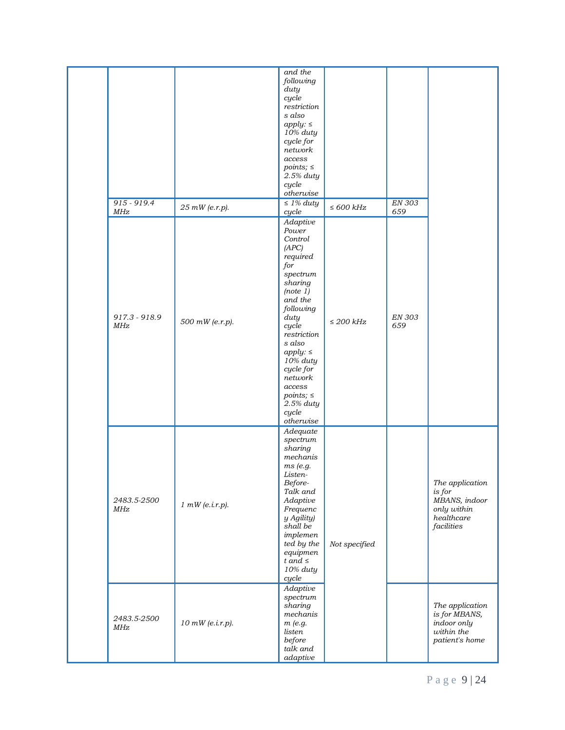|                               |                    | and the<br>following<br>duty<br>cycle<br>restriction<br>s also<br>apply: $\leq$<br>10% duty<br>cycle for<br>network<br>access<br>$points; \leq$<br>2.5% duty<br>cycle<br>otherwise                                                                                                          |                 |                      |                                                                                         |
|-------------------------------|--------------------|---------------------------------------------------------------------------------------------------------------------------------------------------------------------------------------------------------------------------------------------------------------------------------------------|-----------------|----------------------|-----------------------------------------------------------------------------------------|
| 915 - 919.4<br>MHz            | 25 mW (e.r.p).     | $\leq$ 1% duty<br>cycle                                                                                                                                                                                                                                                                     | $\leq 600\ kHz$ | EN 303<br>659        |                                                                                         |
| $917.3 - 918.9$<br><b>MHz</b> | 500 mW (e.r.p).    | Adaptive<br>Power<br>Control<br>(APC)<br>required<br>for<br>spectrum<br>sharing<br>(note 1)<br>and the<br>following<br>duty<br>cycle<br>restriction<br>s also<br>apply: $\leq$<br>10% duty<br>cycle for<br>network<br>access<br>$points; \leq$<br>2.5% duty<br>cycle<br>$o$ <i>therwise</i> | $\leq$ 200 kHz  | <b>EN 303</b><br>659 |                                                                                         |
| 2483.5-2500<br>MHz            | 1 mW(e.i.r.p).     | Adequate<br>spectrum<br>sharing<br>mechanis<br>ms (e.g.<br>Listen-<br>Before-<br>Talk and<br>Adaptive<br>Frequenc<br>y Agility)<br>shall be<br>implemen<br>ted by the<br>equipmen<br>t and $\leq$<br>10% duty<br>cycle                                                                      | Not specified   |                      | The application<br>$is$ for<br>MBANS, indoor<br>only within<br>healthcare<br>facilities |
| 2483.5-2500<br>MHz            | $10$ mW (e.i.r.p). | Adaptive<br>spectrum<br>sharing<br>mechanis<br>m(e.g.<br>listen<br>before<br>talk and<br>adaptive                                                                                                                                                                                           |                 |                      | The application<br>is for MBANS,<br>indoor only<br>within the<br>patient's home         |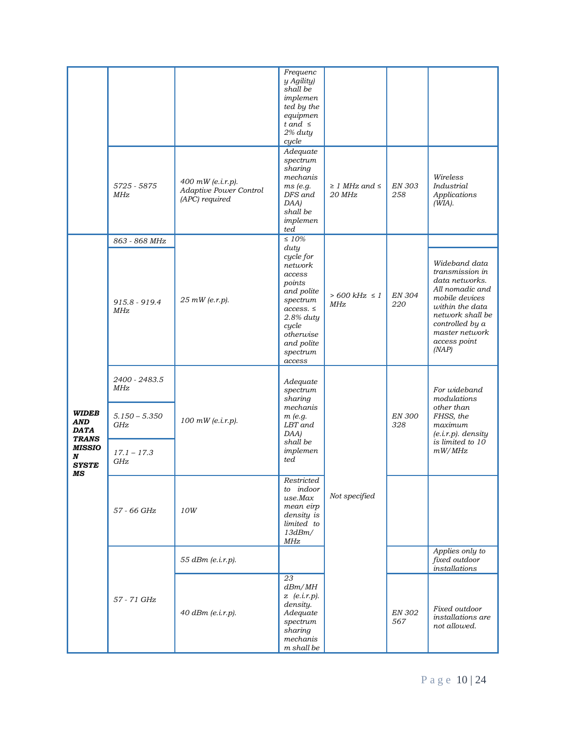|                                                           |                               |                                                               | Frequenc<br>y Agility)<br>shall be<br>implemen<br>ted by the<br>equipmen<br>t and $\leq$<br>2% duty                                                                 |                                    |                      |                                                                                                                                                                                              |
|-----------------------------------------------------------|-------------------------------|---------------------------------------------------------------|---------------------------------------------------------------------------------------------------------------------------------------------------------------------|------------------------------------|----------------------|----------------------------------------------------------------------------------------------------------------------------------------------------------------------------------------------|
|                                                           | 5725 - 5875<br>MHz            | 400 mW (e.i.r.p).<br>Adaptive Power Control<br>(APC) required | cycle<br>Adequate<br>spectrum<br>sharing<br>mechanis<br>ms (e.g.<br>DFS and<br>DAA)<br>shall be<br>implemen<br>ted                                                  | $\geq$ 1 MHz and $\leq$<br>20 MHz  | <b>EN 303</b><br>258 | Wireless<br>Industrial<br>Applications<br>(WIA).                                                                                                                                             |
|                                                           | 863 - 868 MHz                 |                                                               | $\leq 10\%$                                                                                                                                                         |                                    |                      |                                                                                                                                                                                              |
|                                                           | $915.8 - 919.4$<br><b>MHz</b> | 25 mW (e.r.p).                                                | duty<br>cycle for<br>network<br>access<br>points<br>and polite<br>spectrum<br>access. $\leq$<br>2.8% duty<br>cycle<br>otherwise<br>and polite<br>spectrum<br>access | $> 600 \text{ kHz} \leq 1$<br>MHz. | EN 304<br>220        | Wideband data<br>transmission in<br>data networks.<br>All nomadic and<br>mobile devices<br>within the data<br>network shall be<br>controlled by a<br>master network<br>access point<br>(NAP) |
|                                                           | 2400 - 2483.5<br>MHz          | 100 mW (e.i.r.p).                                             | Adequate<br>spectrum<br>sharing                                                                                                                                     |                                    |                      | For wideband<br>modulations                                                                                                                                                                  |
| <b>WIDEB</b><br><b>AND</b><br><b>DATA</b><br><b>TRANS</b> | $5.150 - 5.350$<br>GHz        |                                                               | mechanis<br>$m$ (e.g.<br>LBT and<br>DAA)                                                                                                                            |                                    | <b>EN 300</b><br>328 | other than<br>FHSS, the<br>maximum<br>$(e.i.r.p)$ . density<br>is limited to 10                                                                                                              |
| <b>MISSIO</b><br>N<br><b>SYSTE</b><br>MS                  | $17.1 - 17.3$<br>GHz          |                                                               | shall be<br>implemen<br>ted                                                                                                                                         |                                    |                      | mW/MHz                                                                                                                                                                                       |
|                                                           | 57 - 66 GHz                   | 10W                                                           | Restricted<br>to indoor<br>use.Max<br>mean eirp<br>density is<br>limited to<br>13dBm/<br>MHz                                                                        | Not specified                      |                      |                                                                                                                                                                                              |
|                                                           |                               | 55 dBm (e.i.r.p).                                             |                                                                                                                                                                     |                                    |                      | Applies only to<br>fixed outdoor<br>installations                                                                                                                                            |
|                                                           | 57 - 71 GHz                   | 40 dBm (e.i.r.p).                                             | 23<br>dBm/MH<br>$z$ (e.i.r.p).<br>density.<br>Adequate<br>spectrum<br>sharing<br>mechanis<br>m shall be                                                             |                                    | <b>EN 302</b><br>567 | Fixed outdoor<br>installations are<br>not allowed.                                                                                                                                           |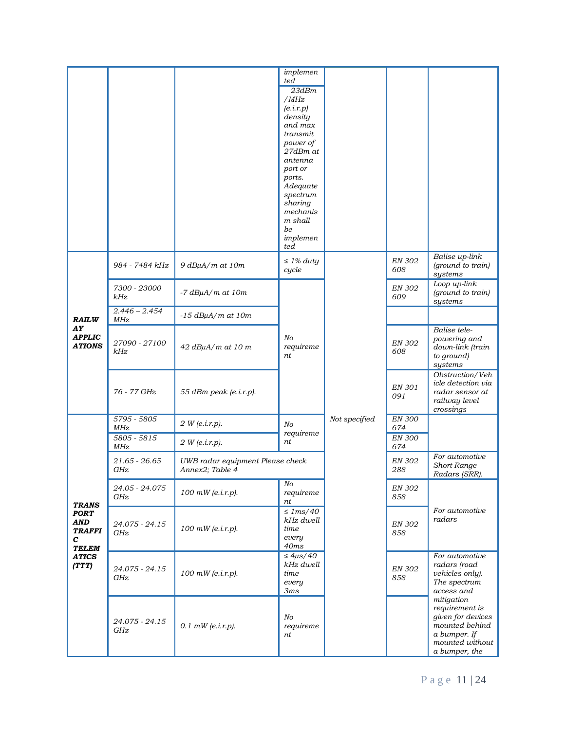|                                                          |                                        |                                                     | implemen<br>ted<br>23dBm<br>/MHz<br>(e.i.r.p)<br>density<br>and max<br>transmit<br>power of<br>27dBm at<br>antenna<br>port or<br>ports.<br>Adequate<br>spectrum<br>sharing<br>mechanis<br>m shall<br>be<br>implemen<br>ted |               |                      |                                                                                                                         |
|----------------------------------------------------------|----------------------------------------|-----------------------------------------------------|----------------------------------------------------------------------------------------------------------------------------------------------------------------------------------------------------------------------------|---------------|----------------------|-------------------------------------------------------------------------------------------------------------------------|
|                                                          | 984 - 7484 kHz                         | $9 dB\mu A/m$ at $10m$                              | $\leq$ 1% duty<br>cycle                                                                                                                                                                                                    |               | EN 302<br>608        | Balise up-link<br>(ground to train)<br>systems                                                                          |
|                                                          | 7300 - 23000<br>kHz<br>$2.446 - 2.454$ | $-7$ dB $\mu$ A/m at 10m                            |                                                                                                                                                                                                                            |               | <b>EN 302</b><br>609 | Loop up-link<br>(ground to train)<br>systems                                                                            |
| <b>RAILW</b>                                             | MHz                                    | $-15$ dB $\mu$ A/m at $10m$                         |                                                                                                                                                                                                                            |               |                      |                                                                                                                         |
| AY<br><b>APPLIC</b><br><b>ATIONS</b>                     | 27090 - 27100<br>kHz                   | $42$ dB $\mu$ A/m at 10 m                           | No<br>requireme<br>nt                                                                                                                                                                                                      |               | <b>EN 302</b><br>608 | Balise tele-<br>powering and<br>down-link (train<br>to ground)<br>systems                                               |
|                                                          | 76 - 77 GHz                            | 55 dBm peak (e.i.r.p).                              |                                                                                                                                                                                                                            |               | EN 301<br>091        | Obstruction/Veh<br>icle detection via<br>radar sensor at<br>railway level<br>crossings                                  |
|                                                          | 5795 - 5805<br>MHz                     | 2 W(e.i.r.p).                                       | No                                                                                                                                                                                                                         | Not specified | <b>EN 300</b><br>674 |                                                                                                                         |
|                                                          | $5805 - 5815$<br>MHz                   | 2 W(e. i.r.p).                                      | requireme<br>nt                                                                                                                                                                                                            |               | <b>EN 300</b><br>674 |                                                                                                                         |
|                                                          | $21.65 - 26.65$<br>GHz                 | UWB radar equipment Please check<br>Annex2; Table 4 |                                                                                                                                                                                                                            |               | <b>EN 302</b><br>288 | For automotive<br><b>Short Range</b><br>Radars (SRR).                                                                   |
| <b>TRANS</b>                                             | 24.05 - 24.075<br>GHz                  | $100$ mW (e.i.r.p).                                 | No<br>requireme<br>nt                                                                                                                                                                                                      |               | <b>EN 302</b><br>858 |                                                                                                                         |
| <b>PORT</b><br>AND<br><b>TRAFFI</b><br>С<br><b>TELEM</b> | 24.075 - 24.15<br>GHz                  | $100$ mW (e.i.r.p).                                 | $\leq$ 1ms/40<br>kHz dwell<br>time<br>every<br>40ms                                                                                                                                                                        |               | <b>EN 302</b><br>858 | For automotive<br>radars                                                                                                |
| <b>ATICS</b><br>(TTT)                                    | 24.075 - 24.15<br>GHz                  | $100$ mW (e.i.r.p).                                 | $\leq 4\mu s/40$<br>kHz dwell<br>time<br>every<br>3ms                                                                                                                                                                      |               | <b>EN 302</b><br>858 | For automotive<br>radars (road<br>vehicles only).<br>The spectrum<br>access and                                         |
|                                                          | 24.075 - 24.15<br>GHz                  | $0.1$ mW (e.i.r.p).                                 | N <sub>O</sub><br>requireme<br>nt                                                                                                                                                                                          |               |                      | mitigation<br>requirement is<br>given for devices<br>mounted behind<br>a bumper. If<br>mounted without<br>a bumper, the |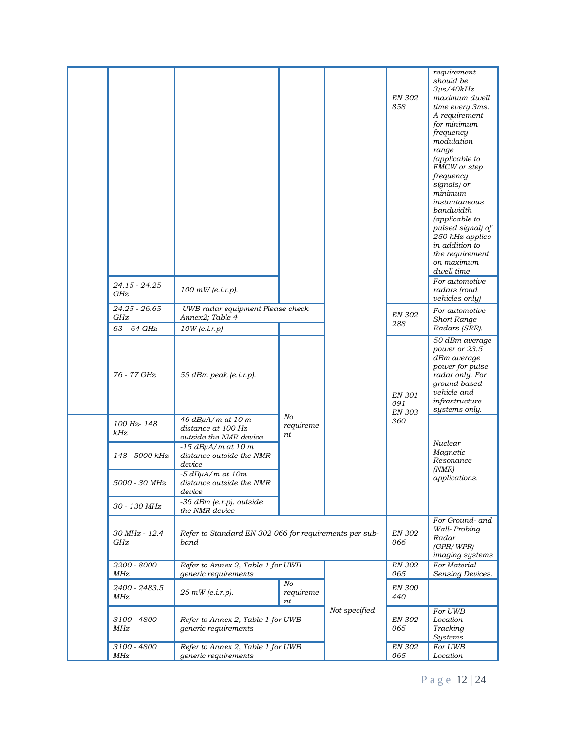|                                       |                                                                   |                       |               | <b>EN 302</b><br>858                                                     | requirement<br>should be<br>$3\mu$ s/40 $kHz$<br>maximum dwell<br>time every 3ms.<br>A requirement<br>for minimum<br>frequency<br>modulation<br>range<br>(applicable to<br>FMCW or step<br>frequency<br>signals) or<br>minimum<br>instantaneous<br>bandwidth<br>(applicable to<br>pulsed signal) of<br>250 kHz applies<br>in addition to<br>the requirement<br>on maximum<br>dwell time<br>For automotive |
|---------------------------------------|-------------------------------------------------------------------|-----------------------|---------------|--------------------------------------------------------------------------|-----------------------------------------------------------------------------------------------------------------------------------------------------------------------------------------------------------------------------------------------------------------------------------------------------------------------------------------------------------------------------------------------------------|
| 24.15 - 24.25<br>GHz<br>24.25 - 26.65 | $100$ mW (e.i.r.p).<br>UWB radar equipment Please check           |                       |               |                                                                          | radars (road<br>vehicles only)<br>For automotive                                                                                                                                                                                                                                                                                                                                                          |
| GHz                                   | Annex2; Table 4                                                   |                       |               | <b>EN 302</b><br>288                                                     | Short Range                                                                                                                                                                                                                                                                                                                                                                                               |
| $63 - 64$ GHz                         | $10W$ (e.i.r.p)                                                   |                       |               |                                                                          | Radars (SRR).                                                                                                                                                                                                                                                                                                                                                                                             |
| 76 - 77 GHz                           | 55 dBm peak (e.i.r.p).                                            |                       |               | EN 301<br>091<br><b>EN 303</b>                                           | 50 dBm average<br>power or 23.5<br>dBm average<br>power for pulse<br>radar only. For<br>ground based<br>vehicle and<br>infrastructure<br>systems only.                                                                                                                                                                                                                                                    |
| 100 Hz-148<br>kHz                     | 46 dBµA/m at 10 m<br>distance at 100 Hz<br>outside the NMR device | No<br>requireme<br>nt |               | 360                                                                      | Nuclear                                                                                                                                                                                                                                                                                                                                                                                                   |
| 148 - 5000 kHz                        | $-15$ dB $\mu$ A/m at 10 m<br>distance outside the NMR<br>device  |                       |               |                                                                          | Magnetic<br>Resonance<br>(NMR)                                                                                                                                                                                                                                                                                                                                                                            |
| 5000 - 30 MHz                         | $-5$ dBuA/m at $10m$<br>distance outside the NMR<br>device        |                       |               |                                                                          | applications.                                                                                                                                                                                                                                                                                                                                                                                             |
| 30 - 130 MHz                          | -36 dBm (e.r.p). outside<br>the NMR device                        |                       |               |                                                                          |                                                                                                                                                                                                                                                                                                                                                                                                           |
| 30 MHz - 12.4<br>GHz                  | Refer to Standard EN 302 066 for requirements per sub-<br>band    |                       | EN 302<br>066 | For Ground- and<br>Wall-Probing<br>Radar<br>(GPR/WPR)<br>imaging systems |                                                                                                                                                                                                                                                                                                                                                                                                           |
| 2200 - 8000<br>MHz                    | Refer to Annex 2, Table 1 for UWB<br>generic requirements         |                       |               | <b>EN 302</b><br>065                                                     | For Material<br>Sensing Devices.                                                                                                                                                                                                                                                                                                                                                                          |
| 2400 - 2483.5<br>MHz                  | $25$ mW (e.i.r.p).                                                | No<br>requireme<br>пt |               | <b>EN 300</b><br>440                                                     |                                                                                                                                                                                                                                                                                                                                                                                                           |
| 3100 - 4800<br>MHz                    | Refer to Annex 2, Table 1 for UWB<br>generic requirements         |                       | Not specified | <i>EN 302</i><br>065                                                     | For UWB<br>Location<br>Tracking<br><b>Systems</b>                                                                                                                                                                                                                                                                                                                                                         |
| 3100 - 4800<br>MHz                    | Refer to Annex 2, Table 1 for UWB<br>generic requirements         |                       |               | <b>EN 302</b><br>065                                                     | For UWB<br>Location                                                                                                                                                                                                                                                                                                                                                                                       |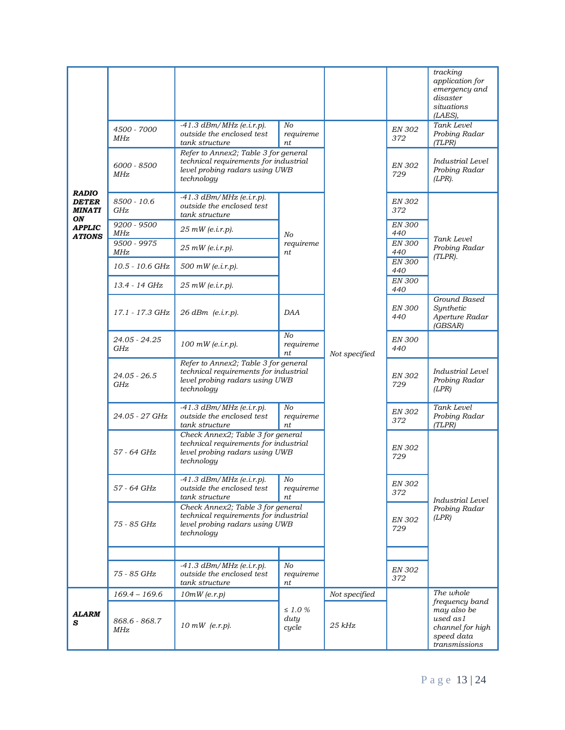| <b>RADIO</b><br><b>DETER</b><br><b>MINATI</b><br>ON | 4500 - 7000<br>MHz<br>6000 - 8500<br>MHz | $-41.3$ dBm/MHz (e.i.r.p).<br>outside the enclosed test<br>tank structure<br>Refer to Annex2; Table 3 for general<br>technical requirements for industrial<br>level probing radars using UWB<br>technology | No<br>requireme<br>nt                 |               | <b>EN 302</b><br>372<br><b>EN 302</b><br>729 | tracking<br>application for<br>emergency and<br>disaster<br>situations<br>(LAES),<br>Tank Level<br>Probing Radar<br>(TLPR)<br>Industrial Level<br>Probing Radar<br>$(LPR)$ . |
|-----------------------------------------------------|------------------------------------------|------------------------------------------------------------------------------------------------------------------------------------------------------------------------------------------------------------|---------------------------------------|---------------|----------------------------------------------|------------------------------------------------------------------------------------------------------------------------------------------------------------------------------|
|                                                     | 8500 - 10.6<br>GHz<br>9200 - 9500        | $-41.3$ $dBm/MHz$ (e.i.r.p).<br>outside the enclosed test<br>tank structure                                                                                                                                |                                       |               | <b>EN 302</b><br>372<br><b>EN 300</b>        |                                                                                                                                                                              |
| <b>APPLIC</b><br><b>ATIONS</b>                      | MHz                                      | $25$ mW (e.i.r.p).                                                                                                                                                                                         | No                                    |               | 440                                          | Tank Level                                                                                                                                                                   |
|                                                     | 9500 - 9975<br>MHz                       | 25 mW (e.i.r.p).                                                                                                                                                                                           | requireme<br>nt                       |               | <b>EN 300</b><br>440                         | Probing Radar                                                                                                                                                                |
|                                                     | 10.5 - 10.6 GHz                          | 500 mW (e.i.r.p).                                                                                                                                                                                          |                                       |               | <b>EN 300</b>                                | $(TLPR)$ .                                                                                                                                                                   |
|                                                     | 13.4 - 14 GHz                            |                                                                                                                                                                                                            |                                       |               | 440<br><b>EN 300</b>                         |                                                                                                                                                                              |
|                                                     |                                          | $25$ mW (e.i.r.p).                                                                                                                                                                                         |                                       |               | 440                                          | Ground Based                                                                                                                                                                 |
|                                                     | 17.1 - 17.3 GHz                          | 26 dBm (e.i.r.p).                                                                                                                                                                                          | DAA                                   |               | <b>EN 300</b><br>440                         | Synthetic<br>Aperture Radar<br>(GBSAR)                                                                                                                                       |
|                                                     | 24.05 - 24.25<br>GHz                     | 100 mW (e.i.r.p).                                                                                                                                                                                          | No<br>requireme<br>nt                 | Not specified | <b>EN 300</b><br>440                         |                                                                                                                                                                              |
|                                                     | $24.05 - 26.5$<br>GHz                    | Refer to Annex2; Table 3 for general<br>technical requirements for industrial<br>level probing radars using UWB<br>technology                                                                              |                                       |               | <b>EN 302</b><br>729                         | Industrial Level<br>Probing Radar<br>(LPR)                                                                                                                                   |
|                                                     | 24.05 - 27 GHz                           | $-41.3$ dBm/MHz (e.i.r.p).<br>outside the enclosed test<br>tank structure                                                                                                                                  | No<br>requireme<br>nt                 |               | <b>EN 302</b><br>372                         | Tank Level<br>Probing Radar<br>(TLPR)                                                                                                                                        |
|                                                     | 57 - 64 GHz                              | Check Annex2; Table 3 for general<br>technical requirements for industrial<br>level probing radars using UWB<br>technology                                                                                 |                                       |               | <b>EN 302</b><br>729                         |                                                                                                                                                                              |
|                                                     | 57 - 64 GHz                              | $-41.3$ dBm/MHz (e.i.r.p).<br>outside the enclosed test<br>tank structure                                                                                                                                  | $\sqrt{N_O}$<br>requireme<br>nt       |               | <b>EN 302</b><br>372                         | Industrial Level                                                                                                                                                             |
|                                                     | 75 - 85 GHz                              | Check Annex2; Table 3 for general<br>level probing radars using UWB<br>technology                                                                                                                          | technical requirements for industrial |               | <b>EN 302</b><br>729                         | Probing Radar<br>(LPR)                                                                                                                                                       |
|                                                     |                                          |                                                                                                                                                                                                            |                                       |               |                                              |                                                                                                                                                                              |
|                                                     | 75 - 85 GHz                              | $-41.3$ dBm/MHz (e.i.r.p).<br>outside the enclosed test<br>tank structure                                                                                                                                  | No<br>requireme<br>nt                 |               | <i>EN 302</i><br>372                         |                                                                                                                                                                              |
|                                                     | $169.4 - 169.6$                          | $10mW$ (e.r.p)                                                                                                                                                                                             |                                       | Not specified |                                              | The whole<br>frequency band                                                                                                                                                  |
| ALARM<br>s                                          | 868.6 - 868.7<br>MHz                     | $10~mW$ (e.r.p).                                                                                                                                                                                           | $\leq$ 1.0 %<br>duty<br>cycle         | $25$ kHz      |                                              | may also be<br>used as1<br>channel for high<br>speed data<br>transmissions                                                                                                   |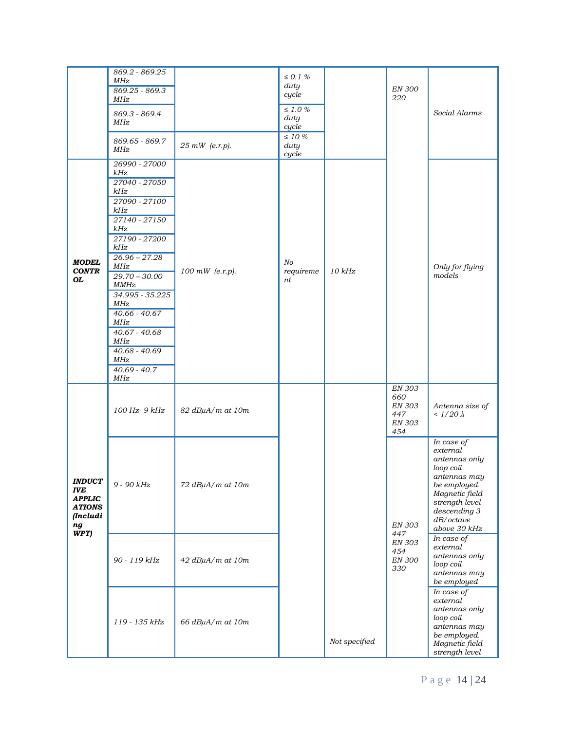|                                                                                                               | 869.2 - 869.25<br>MHz<br>$869.25 - 869.3$<br>MHz<br>869.3 - 869.4<br>MHz<br>869.65 - 869.7<br>MHz                                                                                                                                                                                                                          | 25 mW (e.r.p).   | $\leq$ 0.1 $\%$<br>duty<br>cycle<br>$\leq$ 1.0 $\%$<br>duty<br>cycle<br>$\leq$ 10 $\%$<br>duty<br>cycle |               | EN 300<br>220                                                 | Social Alarms                                                                                                                                                         |
|---------------------------------------------------------------------------------------------------------------|----------------------------------------------------------------------------------------------------------------------------------------------------------------------------------------------------------------------------------------------------------------------------------------------------------------------------|------------------|---------------------------------------------------------------------------------------------------------|---------------|---------------------------------------------------------------|-----------------------------------------------------------------------------------------------------------------------------------------------------------------------|
| <b>MODEL</b><br><b>CONTR</b><br>OL                                                                            | 26990 - 27000<br>kHz<br>27040 - 27050<br>kHz<br>27090 - 27100<br>kHz<br>27140 - 27150<br>kHz<br>27190 - 27200<br>kHz<br>$26.96 - 27.28$<br>MHz<br>$29.70 - 30.00$<br><b>MMHz</b><br>$34.995 - 35.225$<br>MHz<br>$40.66 - 40.67$<br><b>MHz</b><br>$40.67 - 40.68$<br>MHz<br>$40.68 - 40.69$<br>MHz<br>$40.69 - 40.7$<br>MHz | 100 mW (e.r.p).  | $N$ o<br>requireme<br>nt                                                                                | $10$ $kHz$    |                                                               | Only for flying<br>models                                                                                                                                             |
|                                                                                                               | 100 Hz- 9 kHz                                                                                                                                                                                                                                                                                                              | 82 dBµA/m at 10m |                                                                                                         |               | <b>EN 303</b><br>660<br>EN 303<br>447<br><b>EN 303</b><br>454 | Antenna size of<br>< $1/20 \lambda$                                                                                                                                   |
| <i><b>INDUCT</b></i><br><b>IVE</b><br><b>APPLIC</b><br><b>ATIONS</b><br>(Includi<br>$\boldsymbol{ng}$<br>WPT) | $9$ - $90\ kHz$                                                                                                                                                                                                                                                                                                            | 72 dBµA/m at 10m |                                                                                                         |               | <b>EN 303</b>                                                 | In case of<br>external<br>antennas only<br>loop coil<br>antennas may<br>be employed.<br>Magnetic field<br>strength level<br>descending 3<br>dB/cctave<br>above 30 kHz |
|                                                                                                               | 90 - 119 kHz                                                                                                                                                                                                                                                                                                               | 42 dBµA/m at 10m |                                                                                                         |               | 447<br>EN 303<br>454<br><b>EN 300</b><br>330                  | In case of<br>external<br>antennas only<br>loop coil<br>antennas may<br>be employed                                                                                   |
|                                                                                                               | 119 - 135 kHz                                                                                                                                                                                                                                                                                                              | 66 dBµA/m at 10m |                                                                                                         | Not specified |                                                               | In case of<br>external<br>antennas only<br>loop coil<br>antennas may<br>be employed.<br>Magnetic field<br>strength level                                              |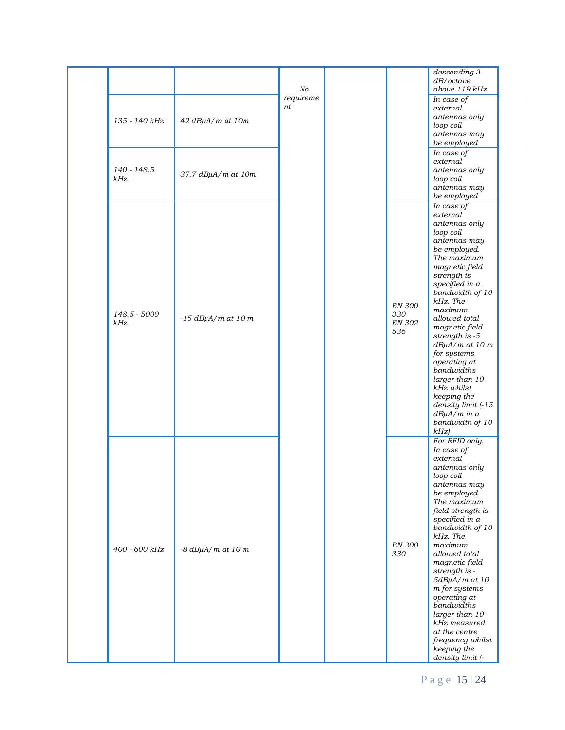|                     |                           | No<br>requireme |                                              | descending 3<br>dB/cctave<br>above 119 kHz                                                                                                                                                                                                                                                                                                                                                                                                       |
|---------------------|---------------------------|-----------------|----------------------------------------------|--------------------------------------------------------------------------------------------------------------------------------------------------------------------------------------------------------------------------------------------------------------------------------------------------------------------------------------------------------------------------------------------------------------------------------------------------|
| 135 - 140 kHz       | $42$ dB $\mu$ A/m at 10m  | nt              |                                              | In case of<br>external<br>antennas only<br>loop coil<br>antennas may<br>be employed                                                                                                                                                                                                                                                                                                                                                              |
| 140 - 148.5<br>kHz  | 37.7 dBµA/m at 10m        |                 |                                              | In case of<br>external<br>antennas only<br>loop coil<br>antennas may<br>be employed                                                                                                                                                                                                                                                                                                                                                              |
| 148.5 - 5000<br>kHz | $-15$ dBuA/m at 10 m      |                 | <b>EN 300</b><br>330<br><b>EN 302</b><br>536 | In case of<br>external<br>antennas only<br>loop coil<br>antennas may<br>be employed.<br>The maximum<br>magnetic field<br>strength is<br>specified in a<br>bandwidth of 10<br>kHz. The<br>maximum<br>allowed total<br>magnetic field<br>strength is -5<br>$dB\mu A/m$ at 10 $m$<br>for systems<br>operating at<br>bandwidths<br>larger than 10<br>kHz whilst<br>keeping the<br>density limit (-15<br>$dB\mu A/m$ in $a$<br>bandwidth of 10<br>kHz |
| 400 - 600 kHz       | $-8$ dB $\mu$ A/m at 10 m |                 | <b>EN 300</b><br>330                         | For RFID only.<br>In case of<br>external<br>antennas only<br>loop coil<br>antennas may<br>be employed.<br>The maximum<br>field strength is<br>specified in a<br>bandwidth of 10<br>kHz. The<br>maximum<br>allowed total<br>magnetic field<br>strength is -<br>5dBµA/m at 10<br>m for systems<br>operating at<br>bandwidths<br>larger than 10<br>kHz measured<br>at the centre<br>frequency whilst<br>keeping the<br>density limit (-             |

P a g e 15 | 24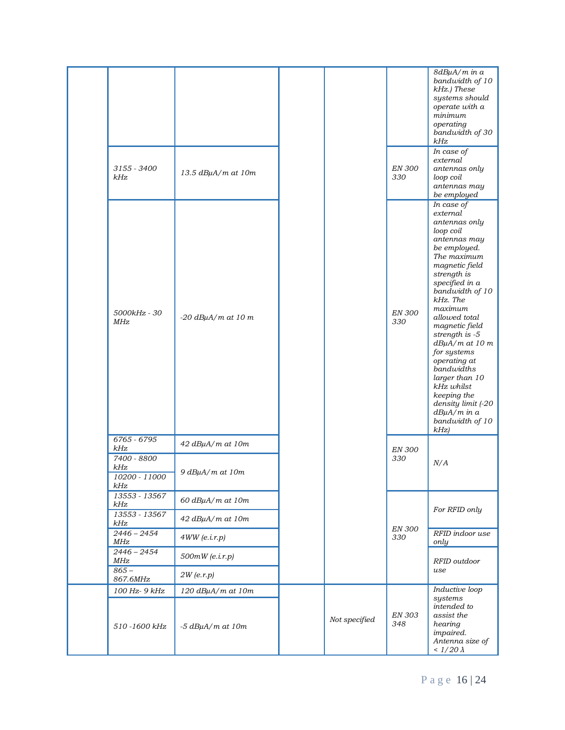| 3155 - 3400<br>kHz                           | 13.5 dBµA/m at 10m                                      |               | <b>EN 300</b><br>330 | 8dBµA/m in a<br>bandwidth of 10<br>kHz.) These<br>systems should<br>operate with a<br>minimum<br>operating<br>bandwidth of 30<br>kHz<br>In case of<br>external<br>antennas only<br>loop coil                                                                                                                                                                                                                                                   |
|----------------------------------------------|---------------------------------------------------------|---------------|----------------------|------------------------------------------------------------------------------------------------------------------------------------------------------------------------------------------------------------------------------------------------------------------------------------------------------------------------------------------------------------------------------------------------------------------------------------------------|
|                                              |                                                         |               |                      | antennas may<br>be employed                                                                                                                                                                                                                                                                                                                                                                                                                    |
| 5000kHz - 30<br>MHz                          | $-20$ dBuA/m at 10 m                                    |               | <b>EN 300</b><br>330 | In case of<br>external<br>antennas only<br>loop coil<br>antennas may<br>be employed.<br>The maximum<br>magnetic field<br>strength is<br>specified in a<br>bandwidth of 10<br>kHz. The<br>maximum<br>allowed total<br>magnetic field<br>strength is -5<br>$dB\mu A/m$ at 10 m<br>for systems<br>operating at<br>bandwidths<br>larger than 10<br>kHz whilst<br>keeping the<br>density limit (-20<br>$dB\mu A/m$ in $a$<br>bandwidth of 10<br>kHz |
| 6765 - 6795<br>kHz                           | $42$ dB $\mu$ A/m at 10m                                |               | <b>EN 300</b>        |                                                                                                                                                                                                                                                                                                                                                                                                                                                |
| 7400 - 8800<br>kHz<br>10200 - 11000<br>$kHz$ | 9 dBµA/m at 10m                                         |               | 330                  | N/A                                                                                                                                                                                                                                                                                                                                                                                                                                            |
| 13553 - 13567<br>kHz                         | $60$ $dB\mu A/m$ at $10m$                               |               |                      |                                                                                                                                                                                                                                                                                                                                                                                                                                                |
| 13553 - 13567<br>kHz                         | 42 dBµA/m at 10m                                        |               |                      | For RFID only                                                                                                                                                                                                                                                                                                                                                                                                                                  |
| $2446 - 2454$<br>MHz                         | 4WW(e.i.r.p)                                            |               | EN 300<br>330        | RFID indoor use<br>only                                                                                                                                                                                                                                                                                                                                                                                                                        |
| $2446 - 2454$<br>MHz<br>$865 -$              | $500mW$ (e.i.r.p)                                       |               |                      | RFID outdoor<br>use                                                                                                                                                                                                                                                                                                                                                                                                                            |
| 867.6MHz                                     | $2W$ (e.r.p)                                            |               |                      |                                                                                                                                                                                                                                                                                                                                                                                                                                                |
| 100 Hz- 9 kHz<br>510-1600 kHz                | $120$ dB $\mu$ A/m at $10m$<br>$-5$ dB $\mu$ A/m at 10m | Not specified | <b>EN 303</b><br>348 | Inductive loop<br>systems<br>intended to<br>assist the<br>hearing<br>impaired.<br>Antenna size of<br>< $1/20 \lambda$                                                                                                                                                                                                                                                                                                                          |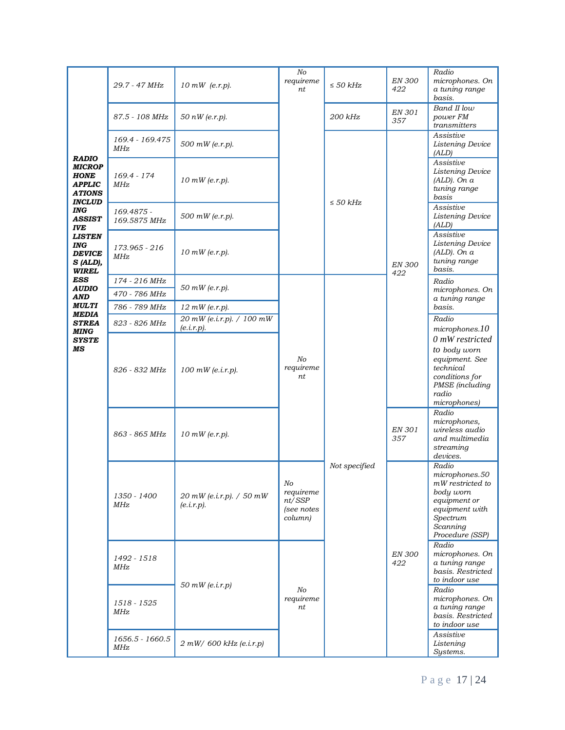|                                                                                                                                       | 29.7 - 47 MHz                  | $10 \, \text{mW}$ (e.r.p).               | $N$ o<br>requireme<br>nt                           | $\leq$ 50 kHz | <b>EN 300</b><br>422 | Radio<br>microphones. On<br>a tuning range<br>basis.                                                                                  |
|---------------------------------------------------------------------------------------------------------------------------------------|--------------------------------|------------------------------------------|----------------------------------------------------|---------------|----------------------|---------------------------------------------------------------------------------------------------------------------------------------|
|                                                                                                                                       | 87.5 - 108 MHz                 | $50~nW$ (e.r.p).                         |                                                    | 200 kHz       | EN 301<br>357        | Band II low<br>power FM<br>transmitters                                                                                               |
|                                                                                                                                       | 169.4 - 169.475<br>MHz         | 500 mW (e.r.p).                          |                                                    |               |                      | Assistive<br>Listening Device<br>(ALD)                                                                                                |
| <b>RADIO</b><br><b>MICROP</b><br><b>HONE</b><br><b>APPLIC</b><br><b>ATIONS</b><br><b>INCLUD</b><br>ING<br><b>ASSIST</b><br><b>IVE</b> | 169.4 - 174<br>MHz             | $10$ mW (e.r.p).                         |                                                    | $\leq$ 50 kHz | <b>EN 300</b><br>422 | Assistive<br>Listening Device<br>$(ALD)$ . On a<br>tuning range<br>basis                                                              |
|                                                                                                                                       | 169.4875 -<br>169.5875 MHz     | 500 mW (e.r.p).                          |                                                    |               |                      | Assistive<br>Listening Device<br>(ALD)                                                                                                |
| <b>LISTEN</b><br><b>ING</b><br><b>DEVICE</b><br>S (ALD),<br><b>WIREL</b>                                                              | 173.965 - 216<br>MHz           | $10$ mW (e.r.p).                         |                                                    |               |                      | Assistive<br>Listening Device<br>$(ALD)$ . On a<br>tuning range<br>basis.                                                             |
| <b>ESS</b><br><b>AUDIO</b><br><b>AND</b><br><b>MULTI</b><br><b>MEDIA</b><br><b>STREA</b><br><b>MING</b><br><b>SYSTE</b><br>MS         | 174 - 216 MHz                  | 50 mW (e.r.p).                           |                                                    |               |                      | Radio<br>microphones. On                                                                                                              |
|                                                                                                                                       | 470 - 786 MHz<br>786 - 789 MHz | $12$ mW (e.r.p).                         |                                                    |               |                      | a tuning range<br>basis.                                                                                                              |
|                                                                                                                                       | 823 - 826 MHz                  | 20 mW (e.i.r.p). / 100 mW<br>(e.i.r.p).  |                                                    |               |                      | Radio                                                                                                                                 |
|                                                                                                                                       |                                |                                          |                                                    |               |                      | microphones.10<br>0 mW restricted                                                                                                     |
|                                                                                                                                       | 826 - 832 MHz                  | $100$ mW (e.i.r.p).                      | No<br>requireme<br>nt                              | Not specified |                      | to body worn<br>equipment. See<br>technical<br>conditions for<br>PMSE (including<br>radio<br>microphones)                             |
|                                                                                                                                       | 863 - 865 MHz                  | $10$ mW (e.r.p).                         |                                                    |               | EN 301<br>357        | Radio<br>microphones,<br>wireless audio<br>and multimedia<br>streaming<br>devices.                                                    |
|                                                                                                                                       | 1350 - 1400<br>MHz             | $20$ mW (e.i.r.p). / 50 mW<br>(e.i.r.p). | No<br>requireme<br>nt/SSP<br>(see notes<br>column) |               | <b>EN 300</b><br>422 | Radio<br>microphones.50<br>mW restricted to<br>body worn<br>equipment or<br>equipment with<br>Spectrum<br>Scanning<br>Procedure (SSP) |
|                                                                                                                                       | 1492 - 1518<br>MHz             | $50$ mW (e.i.r.p)                        |                                                    |               |                      | Radio<br>microphones. On<br>a tuning range<br>basis. Restricted<br>to indoor use                                                      |
|                                                                                                                                       | 1518 - 1525<br>MHz             |                                          | No<br>requireme<br>nt                              |               |                      | Radio<br>microphones. On<br>a tuning range<br>basis. Restricted<br>to indoor use                                                      |
|                                                                                                                                       | 1656.5 - 1660.5<br>MHz         | $2 mW/600 kHz$ (e.i.r.p)                 |                                                    |               |                      | Assistive<br>Listening<br>Systems.                                                                                                    |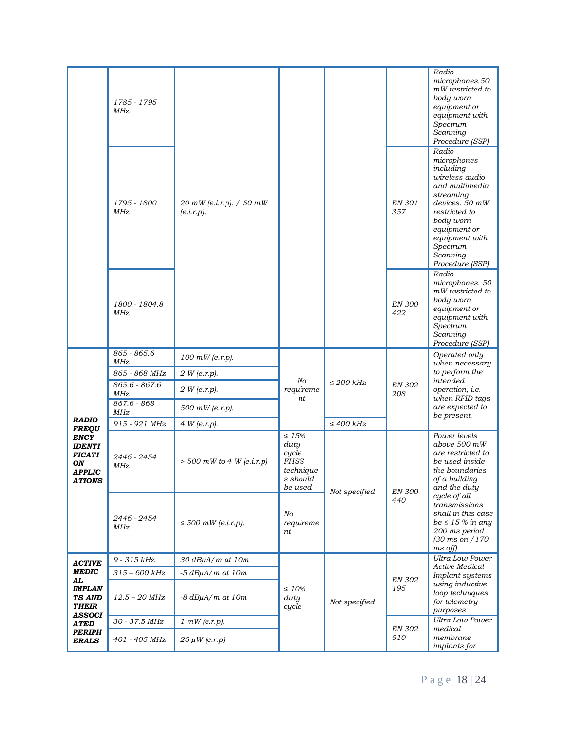|                                                                                              | 1785 - 1795<br>MHz<br>1795 - 1800<br>MHz<br>1800 - 1804.8<br>MHz | 20 mW (e.i.r.p). $/50$ mW<br>(e.i.r.p). |                                                                                 |                | EN 301<br>357<br><b>EN 300</b><br>422 | Radio<br>microphones.50<br>$mW$ restricted to<br>body worn<br>equipment or<br>equipment with<br>Spectrum<br>Scanning<br>Procedure (SSP)<br>Radio<br>microphones<br>including<br>wireless audio<br>and multimedia<br>streaming<br>devices. 50 mW<br>restricted to<br>body worn<br>equipment or<br>equipment with<br>Spectrum<br>Scanning<br>Procedure (SSP)<br>Radio<br>microphones. 50<br>mW restricted to<br>body worn<br>equipment or<br>equipment with<br>Spectrum<br>Scanning<br>Procedure (SSP) |
|----------------------------------------------------------------------------------------------|------------------------------------------------------------------|-----------------------------------------|---------------------------------------------------------------------------------|----------------|---------------------------------------|------------------------------------------------------------------------------------------------------------------------------------------------------------------------------------------------------------------------------------------------------------------------------------------------------------------------------------------------------------------------------------------------------------------------------------------------------------------------------------------------------|
|                                                                                              | 865 - 865.6<br>MHz                                               | $100$ mW (e.r.p).                       | No<br>requireme<br>nt                                                           |                |                                       | Operated only<br>when necessary                                                                                                                                                                                                                                                                                                                                                                                                                                                                      |
|                                                                                              | 865 - 868 MHz                                                    | 2 W (e.r.p).                            |                                                                                 | $\leq$ 200 kHz | <b>EN 302</b><br>208                  | to perform the                                                                                                                                                                                                                                                                                                                                                                                                                                                                                       |
|                                                                                              | $865.6 - 867.6$<br>MHz                                           | 2 W (e.r.p).                            |                                                                                 |                |                                       | intended<br>operation, i.e.<br>when RFID tags                                                                                                                                                                                                                                                                                                                                                                                                                                                        |
|                                                                                              | 867.6 - 868<br>MHz                                               | 500 mW (e.r.p).                         |                                                                                 |                |                                       | are expected to<br>be present.                                                                                                                                                                                                                                                                                                                                                                                                                                                                       |
| <b>RADIO</b><br><b>FREQU</b>                                                                 | 915 - 921 MHz                                                    | 4 W (e.r.p).                            |                                                                                 | $\leq 400$ kHz |                                       |                                                                                                                                                                                                                                                                                                                                                                                                                                                                                                      |
| <b>ENCY</b><br><b>IDENTI</b><br><b>FICATI</b><br>ON<br><b>APPLIC</b><br><i><b>ATIONS</b></i> | 2446 - 2454<br>MHz.                                              | $> 500$ mW to 4 W (e.i.r.p)             | $\leq 15\%$<br>duty<br>cycle<br><b>FHSS</b><br>technique<br>s should<br>be used | Not specified  | <b>EN 300</b><br>440                  | Power levels<br>above 500 mW<br>are restricted to<br>be used inside<br>the boundaries<br>of a building<br>and the duty                                                                                                                                                                                                                                                                                                                                                                               |
|                                                                                              | 2446 - 2454<br>MHz                                               | $\leq$ 500 mW (e.i.r.p).                | No<br>requireme<br>nt                                                           |                |                                       | cycle of all<br>transmissions<br>shall in this case<br>$be \leq 15\%$ in any<br>200 ms period<br>$(30 \text{ ms on } 170)$<br>$ms$ off)                                                                                                                                                                                                                                                                                                                                                              |
| <b>ACTIVE</b>                                                                                | 9 - 315 kHz                                                      | 30 dBµA/m at 10m                        |                                                                                 |                |                                       | Ultra Low Power                                                                                                                                                                                                                                                                                                                                                                                                                                                                                      |
| <b>MEDIC</b>                                                                                 | $315 - 600$ kHz                                                  | $-5$ dB $\mu$ A/m at 10m                |                                                                                 |                |                                       | Active Medical<br>Implant systems                                                                                                                                                                                                                                                                                                                                                                                                                                                                    |
| AL<br><b>IMPLAN</b><br><b>TS AND</b><br><b>THEIR</b>                                         | $12.5 - 20$ MHz                                                  | $-8$ dB $\mu$ A/m at 10m                | $\leq 10\%$<br>duty<br>cycle                                                    | Not specified  | <b>EN 302</b><br>195                  | using inductive<br>loop techniques<br>for telemetry<br>purposes                                                                                                                                                                                                                                                                                                                                                                                                                                      |
| ASSOCI<br>ATED                                                                               | 30 - 37.5 MHz                                                    | $1 mW$ (e.r.p).                         |                                                                                 |                |                                       | Ultra Low Power                                                                                                                                                                                                                                                                                                                                                                                                                                                                                      |
| <b>PERIPH</b><br><b>ERALS</b>                                                                | 401 - 405 MHz                                                    | $25 \mu W$ (e.r.p)                      |                                                                                 |                | <b>EN 302</b><br>510                  | medical<br>membrane<br>implants for                                                                                                                                                                                                                                                                                                                                                                                                                                                                  |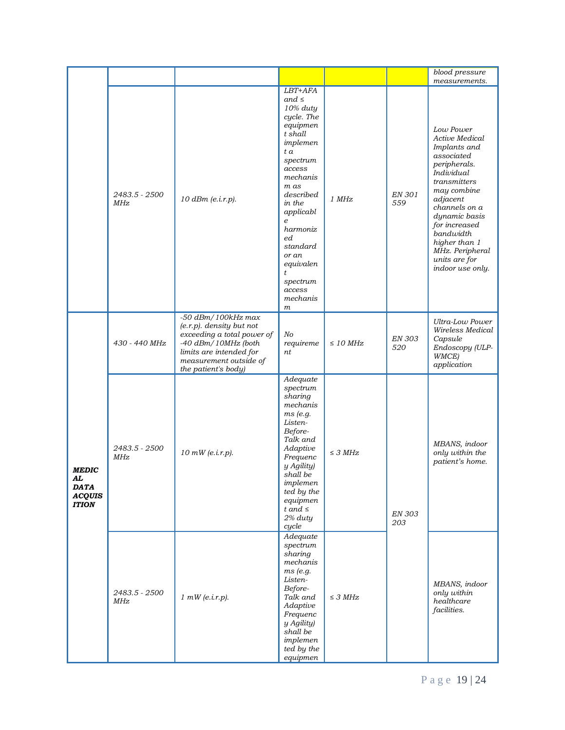|                                                                    |                      |                                                                                                                                                                                      |                                                                                                                                                                                                                                                                                        |               |                      | blood pressure                                                                                                                                                                                                                                                                               |
|--------------------------------------------------------------------|----------------------|--------------------------------------------------------------------------------------------------------------------------------------------------------------------------------------|----------------------------------------------------------------------------------------------------------------------------------------------------------------------------------------------------------------------------------------------------------------------------------------|---------------|----------------------|----------------------------------------------------------------------------------------------------------------------------------------------------------------------------------------------------------------------------------------------------------------------------------------------|
|                                                                    | 2483.5 - 2500<br>MHz | 10 dBm (e.i.r.p).                                                                                                                                                                    | LBT+AFA<br>and $\leq$<br>10% duty<br>cycle. The<br>equipmen<br>t shall<br>implemen<br>t a<br>spectrum<br>access<br>mechanis<br>m as<br>described<br>in the<br>applicabl<br>$\boldsymbol{e}$<br>harmoniz<br>еd<br>standard<br>or an<br>equivalen<br>t<br>spectrum<br>access<br>mechanis | 1 MHz         | EN 301<br>559        | measurements.<br>Low Power<br>Active Medical<br>Implants and<br>associated<br>peripherals.<br>Individual<br>transmitters<br>may combine<br>adjacent<br>channels on a<br>dynamic basis<br>for increased<br>bandwidth<br>higher than 1<br>MHz. Peripheral<br>units are for<br>indoor use only. |
|                                                                    | 430 - 440 MHz        | $-50$ dBm/100kHz max<br>$(e.r.p)$ . density but not<br>exceeding a total power of<br>-40 dBm/10MHz (both<br>limits are intended for<br>measurement outside of<br>the patient's body) | $\,m$<br>No<br>requireme<br>nt                                                                                                                                                                                                                                                         | $\leq$ 10 MHz | EN 303<br>520        | Ultra-Low Power<br>Wireless Medical<br>Capsule<br>Endoscopy (ULP-<br>WMCE)<br>application                                                                                                                                                                                                    |
| <b>MEDIC</b><br>AL<br><b>DATA</b><br><b>ACQUIS</b><br><b>ITION</b> | 2483.5 - 2500<br>MHz | $10$ mW (e.i.r.p).                                                                                                                                                                   | Adequate<br>spectrum<br>sharing<br>mechanis<br>ms (e.g.<br>Listen-<br>Before-<br>Talk and<br>Adaptive<br>Frequenc<br>y Agility)<br>shall be<br>implemen<br>ted by the<br>equipmen<br>t and $\leq$<br>2% duty<br>cycle                                                                  | $\leq$ 3 MHz  | <b>EN 303</b><br>203 | MBANS, indoor<br>only within the<br>patient's home.                                                                                                                                                                                                                                          |
|                                                                    | 2483.5 - 2500<br>MHz | 1 mW(e.i.r.p).                                                                                                                                                                       | Adequate<br>spectrum<br>sharing<br>mechanis<br>ms (e.g.<br>Listen-<br>Before-<br>Talk and<br>Adaptive<br>Frequenc<br>y Agility)<br>shall be<br>implemen<br>ted by the<br>equipmen                                                                                                      | $\leq$ 3 MHz  |                      | MBANS, indoor<br>only within<br>healthcare<br>facilities.                                                                                                                                                                                                                                    |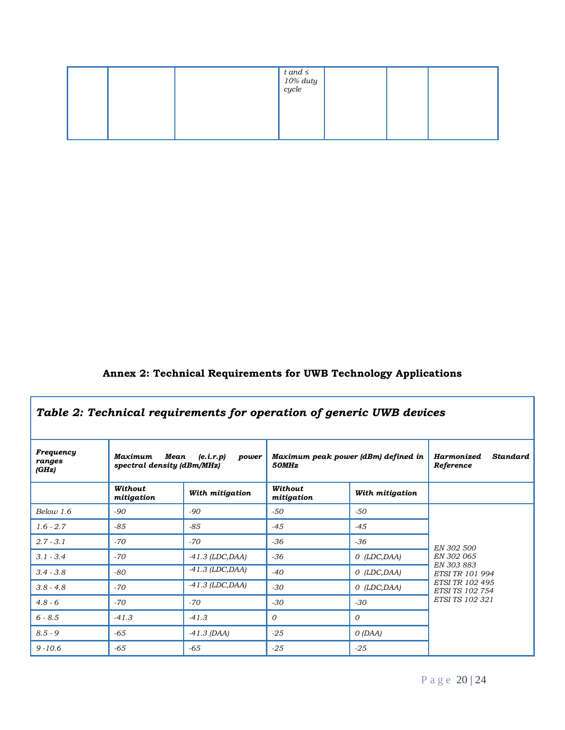|  | $\begin{array}{l} t \ and \le \ 10\% \ duty \ cycle \end{array}$ |  |  |
|--|------------------------------------------------------------------|--|--|
|  |                                                                  |  |  |

# **Annex 2: Technical Requirements for UWB Technology Applications**

| Table 2: Technical requirements for operation of generic UWB devices |                                               |                    |                                              |                 |                                                   |  |  |
|----------------------------------------------------------------------|-----------------------------------------------|--------------------|----------------------------------------------|-----------------|---------------------------------------------------|--|--|
| Frequency<br>ranges<br>(GHz)                                         | Maximum<br>Mean<br>spectral density (dBm/MHz) | (e.i.r.p)<br>power | Maximum peak power (dBm) defined in<br>50MHz |                 | <b>Standard</b><br><b>Harmonized</b><br>Reference |  |  |
|                                                                      | Without<br>mitigation                         | With mitigation    | Without<br>mitigation                        | With mitigation |                                                   |  |  |
| Below 1.6                                                            | $-90$                                         | $-90$              | $-50$                                        | $-50$           |                                                   |  |  |
| $1.6 - 2.7$                                                          | $-85$                                         | $-85$              | $-45$                                        | $-45$           |                                                   |  |  |
| $2.7 - 3.1$                                                          | $-70$                                         | $-70$              | -36                                          | $-36$           | EN 302 500                                        |  |  |
| $3.1 - 3.4$                                                          | $-70$                                         | $-41.3$ (LDC, DAA) | $-36$                                        | $O$ (LDC, DAA)  | EN 302 065                                        |  |  |
| $3.4 - 3.8$                                                          | -80                                           | $-41.3$ (LDC, DAA) | $-40$                                        | $O$ (LDC, DAA)  | EN 303 883<br>ETSI TR 101 994                     |  |  |
| $3.8 - 4.8$                                                          | $-70$                                         | $-41.3$ (LDC, DAA) | $-30$                                        | $O$ (LDC, DAA)  | <b>ETSI TR 102 495</b><br><b>ETSI TS 102 754</b>  |  |  |
| $4.8 - 6$                                                            | $-70$                                         | $-70$              | $-30$                                        | $-30$           | <b>ETSI TS 102 321</b>                            |  |  |
| $6 - 8.5$                                                            | $-41.3$                                       | $-41.3$            | 0                                            | $\Omega$        |                                                   |  |  |
| $8.5 - 9$                                                            | $-65$                                         | $-41.3$ (DAA)      | $-25$                                        | O(DAA)          |                                                   |  |  |
| $9 - 10.6$                                                           | $-65$                                         | $-65$              | $-25$                                        | $-25$           |                                                   |  |  |

٦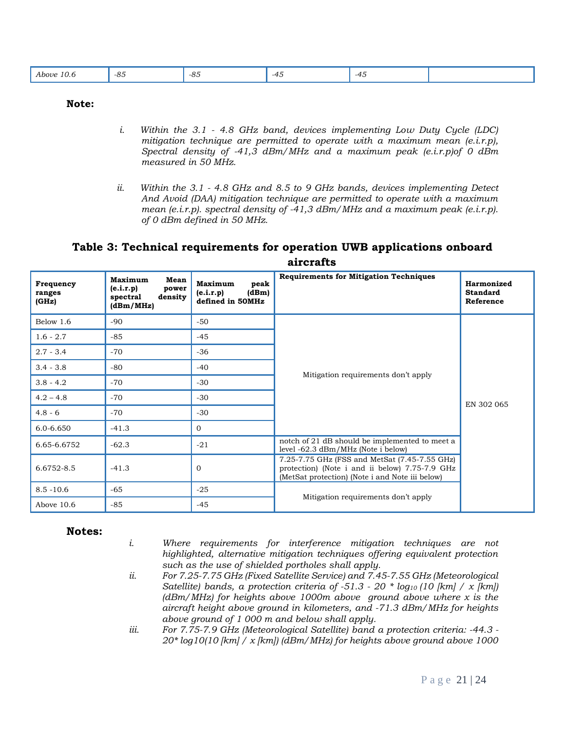| $\Omega$ $\Gamma$<br>.<br>Above<br>-்ப<br>10.0<br>.<br>__ | -85<br>$ -$ | -- | -41 |  |
|-----------------------------------------------------------|-------------|----|-----|--|
|-----------------------------------------------------------|-------------|----|-----|--|

#### **Note:**

- *i. Within the 3.1 - 4.8 GHz band, devices implementing Low Duty Cycle (LDC) mitigation technique are permitted to operate with a maximum mean (e.i.r.p), Spectral density of -41,3 dBm/MHz and a maximum peak (e.i.r.p)of 0 dBm measured in 50 MHz.*
- *ii. Within the 3.1 - 4.8 GHz and 8.5 to 9 GHz bands, devices implementing Detect And Avoid (DAA) mitigation technique are permitted to operate with a maximum mean (e.i.r.p). spectral density of -41,3 dBm/MHz and a maximum peak (e.i.r.p). of 0 dBm defined in 50 MHz.*

### **Table 3: Technical requirements for operation UWB applications onboard aircrafts**

| Frequency<br>ranges<br>(GHz) | Maximum<br>Mean<br>(e.i.r.p)<br>power<br>density<br>spectral<br>(dBm/MHz) | Maximum<br>peak<br>(e.i.r.p)<br>(dBm)<br>defined in 50MHz | <b>Requirements for Mitigation Techniques</b>                                                                                                      | Harmonized<br><b>Standard</b><br>Reference |
|------------------------------|---------------------------------------------------------------------------|-----------------------------------------------------------|----------------------------------------------------------------------------------------------------------------------------------------------------|--------------------------------------------|
| Below 1.6                    | $-90$                                                                     | $-50$                                                     |                                                                                                                                                    |                                            |
| $1.6 - 2.7$                  | $-85$                                                                     | $-45$                                                     |                                                                                                                                                    |                                            |
| $2.7 - 3.4$                  | $-70$                                                                     | $-36$                                                     |                                                                                                                                                    |                                            |
| $3.4 - 3.8$                  | $-80$                                                                     | $-40$                                                     | Mitigation requirements don't apply                                                                                                                |                                            |
| $3.8 - 4.2$                  | $-70$                                                                     |                                                           |                                                                                                                                                    |                                            |
| $4.2 - 4.8$                  | $-70$                                                                     | $-30$                                                     |                                                                                                                                                    | EN 302 065                                 |
| $4.8 - 6$                    | $-70$                                                                     | $-30$                                                     |                                                                                                                                                    |                                            |
| $6.0 - 6.650$                | $-41.3$                                                                   | $\overline{0}$                                            |                                                                                                                                                    |                                            |
| 6.65-6.6752                  | $-62.3$                                                                   | $-21$                                                     | notch of 21 dB should be implemented to meet a<br>level -62.3 dBm/MHz (Note i below)                                                               |                                            |
| 6.6752-8.5                   | $-41.3$                                                                   | $\mathbf{0}$                                              | 7.25-7.75 GHz (FSS and MetSat (7.45-7.55 GHz)<br>protection) (Note i and ii below) 7.75-7.9 GHz<br>(MetSat protection) (Note i and Note iii below) |                                            |
| $8.5 - 10.6$                 | -65                                                                       | $-25$                                                     |                                                                                                                                                    |                                            |
| Above 10.6                   | $-85$                                                                     | $-45$                                                     | Mitigation requirements don't apply                                                                                                                |                                            |

#### **Notes:**

- *i. Where requirements for interference mitigation techniques are not highlighted, alternative mitigation techniques offering equivalent protection such as the use of shielded portholes shall apply.*
- *ii. For 7.25-7.75 GHz (Fixed Satellite Service) and 7.45-7.55 GHz (Meteorological Satellite) bands, a protection criteria of -51.3 - 20 \* log<sup>10</sup> (10 [km] / x [km]) (dBm/MHz) for heights above 1000m above ground above where x is the aircraft height above ground in kilometers, and -71.3 dBm/MHz for heights above ground of 1 000 m and below shall apply.*
- *iii. For 7.75-7.9 GHz (Meteorological Satellite) band a protection criteria: -44.3 - 20\* log10(10 [km] / x [km]) (dBm/MHz) for heights above ground above 1000*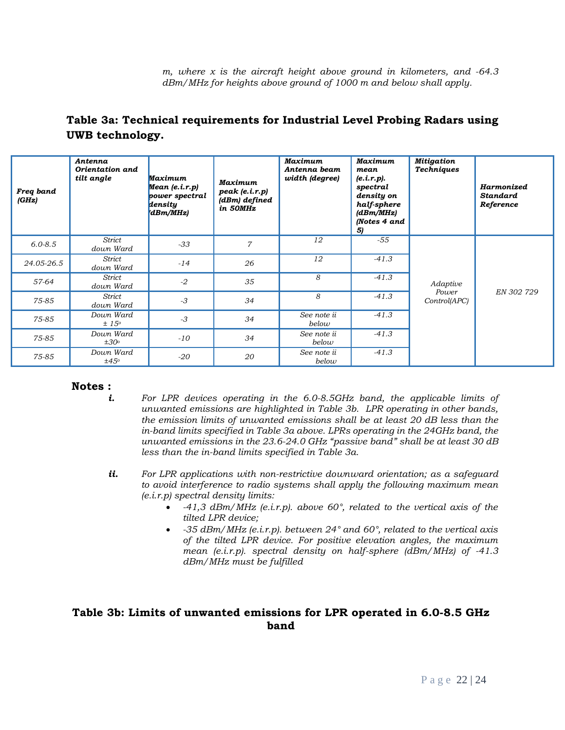*m, where x is the aircraft height above ground in kilometers, and -64.3 dBm/MHz for heights above ground of 1000 m and below shall apply.*

| Freq band<br>(GHz) | Antenna<br>Orientation and<br>tilt angle | <b>Maximum</b><br>Mean(e.i.r.p)<br>power spectral<br>density<br>dBm/MHz) | <b>Maximum</b><br>peak (e.i.r.p)<br>(dBm) defined<br>in 50MHz | <b>Maximum</b><br>Antenna beam<br>width (degree) | Maximum<br>mean<br>(e.i.r.p).<br>spectral<br>density on<br>half-sphere<br>(dBm/MHz)<br><b>Notes 4 and</b><br>5) | <b>Mitigation</b><br><b>Techniques</b> | Harmonized<br><b>Standard</b><br>Reference |
|--------------------|------------------------------------------|--------------------------------------------------------------------------|---------------------------------------------------------------|--------------------------------------------------|-----------------------------------------------------------------------------------------------------------------|----------------------------------------|--------------------------------------------|
| $6.0 - 8.5$        | Strict<br>down Ward                      | $-33$                                                                    | $\overline{7}$                                                | 12                                               | $-55$                                                                                                           |                                        |                                            |
| 24.05-26.5         | Strict<br>down Ward                      | $-14$                                                                    | 26                                                            | 12                                               | $-41.3$                                                                                                         |                                        |                                            |
| 57-64              | Strict<br>down Ward                      | $-2$                                                                     | 35                                                            | 8                                                | $-41.3$                                                                                                         | Adaptive                               |                                            |
| 75-85              | Strict<br>down Ward                      | $-3$                                                                     | 34                                                            | 8                                                | $-41.3$                                                                                                         | Power<br>Control(APC)                  | EN 302 729                                 |
| 75-85              | Down Ward<br>± 15°                       | $-3$                                                                     | 34                                                            | See note ii<br>below                             | $-41.3$                                                                                                         |                                        |                                            |
| 75-85              | Down Ward<br>$\pm 30^\circ$              | $-10$                                                                    | 34                                                            | See note ii<br>below                             | $-41.3$                                                                                                         |                                        |                                            |
| 75-85              | Down Ward<br>±45°                        | $-20$                                                                    | 20                                                            | See note ii<br>below                             | $-41.3$                                                                                                         |                                        |                                            |

# **Table 3a: Technical requirements for Industrial Level Probing Radars using UWB technology.**

#### **Notes :**

- *i. For LPR devices operating in the 6.0-8.5GHz band, the applicable limits of unwanted emissions are highlighted in Table 3b. LPR operating in other bands, the emission limits of unwanted emissions shall be at least 20 dB less than the in-band limits specified in Table 3a above. LPRs operating in the 24GHz band, the unwanted emissions in the 23.6-24.0 GHz "passive band" shall be at least 30 dB less than the in-band limits specified in Table 3a.*
- *ii. For LPR applications with non-restrictive downward orientation; as a safeguard to avoid interference to radio systems shall apply the following maximum mean (e.i.r.p) spectral density limits:*
	- *-41,3 dBm/MHz (e.i.r.p). above 60°, related to the vertical axis of the tilted LPR device;*
	- *-35 dBm/MHz (e.i.r.p). between 24° and 60°, related to the vertical axis of the tilted LPR device. For positive elevation angles, the maximum mean (e.i.r.p). spectral density on half-sphere (dBm/MHz) of -41.3 dBm/MHz must be fulfilled*

### **Table 3b: Limits of unwanted emissions for LPR operated in 6.0-8.5 GHz band**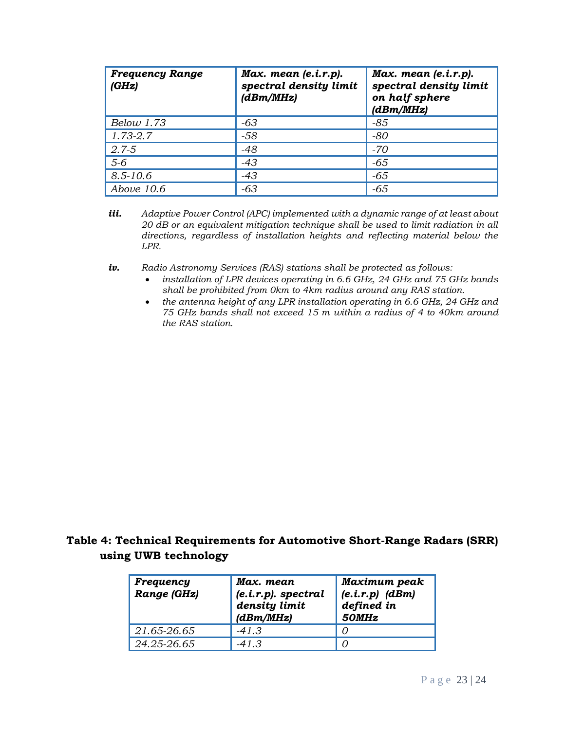| <b>Frequency Range</b><br>(GHz) | $Max.$ mean $(e.i.r.p).$<br>spectral density limit<br>(dBm/MHz) | $Max.$ mean $(e.i.r.p).$<br>spectral density limit<br>on half sphere<br>(dBm/MHz) |
|---------------------------------|-----------------------------------------------------------------|-----------------------------------------------------------------------------------|
| Below 1.73                      | -63                                                             | -85                                                                               |
| $1.73 - 2.7$                    | -58                                                             | -80                                                                               |
| $2.7 - 5$                       | $-48$                                                           | -70                                                                               |
| $5-6$                           | $-43$                                                           | $-65$                                                                             |
| $8.5 - 10.6$                    | $-43$                                                           | $-65$                                                                             |
| Above $10.6$                    | -63                                                             | $-65$                                                                             |

- *iii. Adaptive Power Control (APC) implemented with a dynamic range of at least about 20 dB or an equivalent mitigation technique shall be used to limit radiation in all directions, regardless of installation heights and reflecting material below the LPR.*
- *iv. Radio Astronomy Services (RAS) stations shall be protected as follows:*
	- *installation of LPR devices operating in 6.6 GHz, 24 GHz and 75 GHz bands shall be prohibited from 0km to 4km radius around any RAS station.*
	- *the antenna height of any LPR installation operating in 6.6 GHz, 24 GHz and 75 GHz bands shall not exceed 15 m within a radius of 4 to 40km around the RAS station.*

# **Table 4: Technical Requirements for Automotive Short-Range Radars (SRR) using UWB technology**

| Frequency<br>Range (GHz) | Max. mean<br>$(e.i.r.p)$ . spectral<br>density limit<br>(dBm/MHz) | Maximum peak<br>$(e.i.r.p)$ $(dBm)$<br>defined in<br>50MHz |
|--------------------------|-------------------------------------------------------------------|------------------------------------------------------------|
| 21.65-26.65              | $-41.3$                                                           |                                                            |
| 24.25-26.65              | $-41.3$                                                           |                                                            |